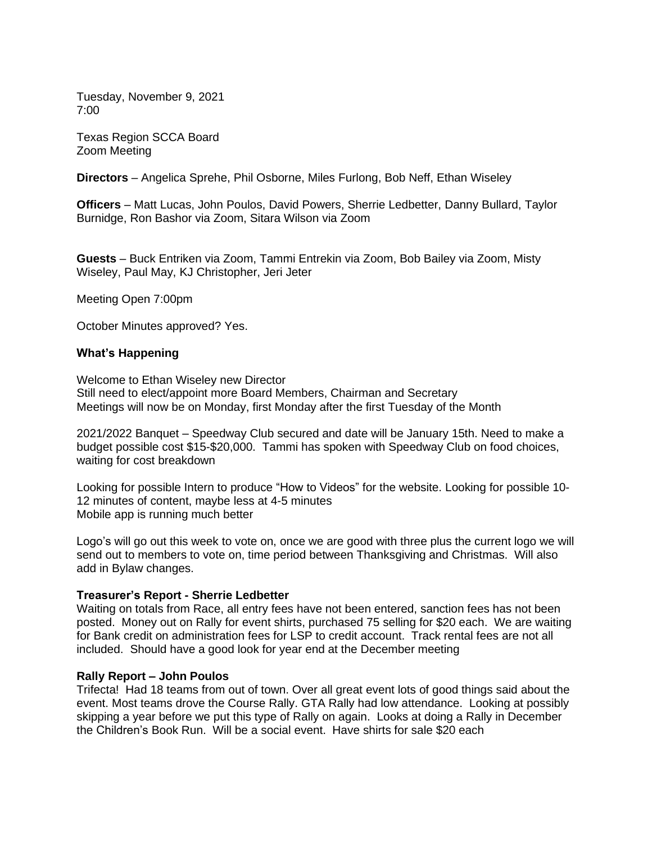Tuesday, November 9, 2021 7:00

Texas Region SCCA Board Zoom Meeting

**Directors** – Angelica Sprehe, Phil Osborne, Miles Furlong, Bob Neff, Ethan Wiseley

**Officers** – Matt Lucas, John Poulos, David Powers, Sherrie Ledbetter, Danny Bullard, Taylor Burnidge, Ron Bashor via Zoom, Sitara Wilson via Zoom

**Guests** – Buck Entriken via Zoom, Tammi Entrekin via Zoom, Bob Bailey via Zoom, Misty Wiseley, Paul May, KJ Christopher, Jeri Jeter

Meeting Open 7:00pm

October Minutes approved? Yes.

#### **What's Happening**

Welcome to Ethan Wiseley new Director Still need to elect/appoint more Board Members, Chairman and Secretary Meetings will now be on Monday, first Monday after the first Tuesday of the Month

2021/2022 Banquet – Speedway Club secured and date will be January 15th. Need to make a budget possible cost \$15-\$20,000. Tammi has spoken with Speedway Club on food choices, waiting for cost breakdown

Looking for possible Intern to produce "How to Videos" for the website. Looking for possible 10- 12 minutes of content, maybe less at 4-5 minutes Mobile app is running much better

Logo's will go out this week to vote on, once we are good with three plus the current logo we will send out to members to vote on, time period between Thanksgiving and Christmas. Will also add in Bylaw changes.

#### **Treasurer's Report - Sherrie Ledbetter**

Waiting on totals from Race, all entry fees have not been entered, sanction fees has not been posted. Money out on Rally for event shirts, purchased 75 selling for \$20 each. We are waiting for Bank credit on administration fees for LSP to credit account. Track rental fees are not all included. Should have a good look for year end at the December meeting

#### **Rally Report – John Poulos**

Trifecta! Had 18 teams from out of town. Over all great event lots of good things said about the event. Most teams drove the Course Rally. GTA Rally had low attendance. Looking at possibly skipping a year before we put this type of Rally on again. Looks at doing a Rally in December the Children's Book Run. Will be a social event. Have shirts for sale \$20 each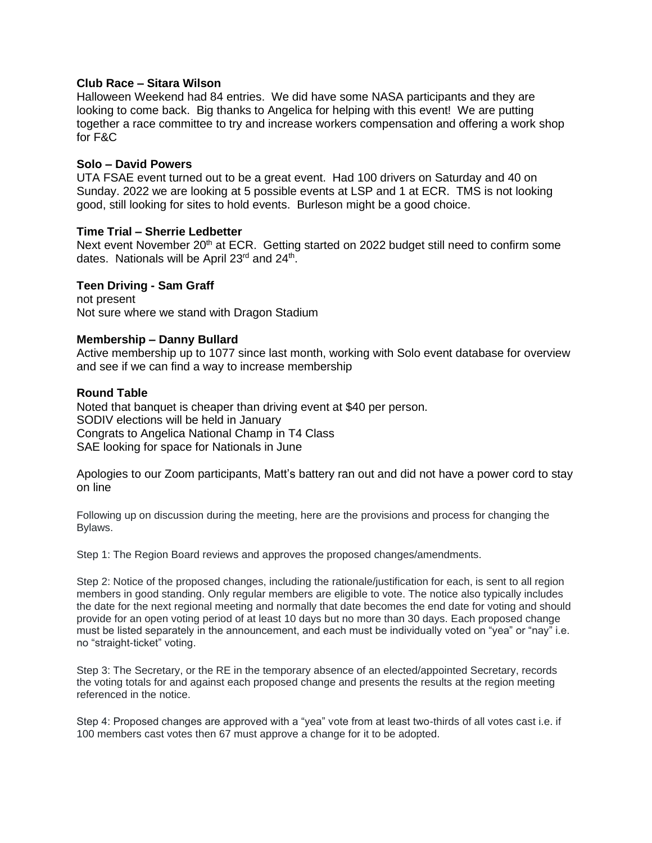#### **Club Race – Sitara Wilson**

Halloween Weekend had 84 entries. We did have some NASA participants and they are looking to come back. Big thanks to Angelica for helping with this event! We are putting together a race committee to try and increase workers compensation and offering a work shop for F&C

#### **Solo – David Powers**

UTA FSAE event turned out to be a great event. Had 100 drivers on Saturday and 40 on Sunday. 2022 we are looking at 5 possible events at LSP and 1 at ECR. TMS is not looking good, still looking for sites to hold events. Burleson might be a good choice.

## **Time Trial – Sherrie Ledbetter**

Next event November 20<sup>th</sup> at ECR. Getting started on 2022 budget still need to confirm some dates. Nationals will be April 23<sup>rd</sup> and 24<sup>th</sup>.

# **Teen Driving - Sam Graff**

not present Not sure where we stand with Dragon Stadium

## **Membership – Danny Bullard**

Active membership up to 1077 since last month, working with Solo event database for overview and see if we can find a way to increase membership

## **Round Table**

Noted that banquet is cheaper than driving event at \$40 per person. SODIV elections will be held in January Congrats to Angelica National Champ in T4 Class SAE looking for space for Nationals in June

Apologies to our Zoom participants, Matt's battery ran out and did not have a power cord to stay on line

Following up on discussion during the meeting, here are the provisions and process for changing the Bylaws.

Step 1: The Region Board reviews and approves the proposed changes/amendments.

Step 2: Notice of the proposed changes, including the rationale/justification for each, is sent to all region members in good standing. Only regular members are eligible to vote. The notice also typically includes the date for the next regional meeting and normally that date becomes the end date for voting and should provide for an open voting period of at least 10 days but no more than 30 days. Each proposed change must be listed separately in the announcement, and each must be individually voted on "yea" or "nay" i.e. no "straight-ticket" voting.

Step 3: The Secretary, or the RE in the temporary absence of an elected/appointed Secretary, records the voting totals for and against each proposed change and presents the results at the region meeting referenced in the notice.

Step 4: Proposed changes are approved with a "yea" vote from at least two-thirds of all votes cast i.e. if 100 members cast votes then 67 must approve a change for it to be adopted.